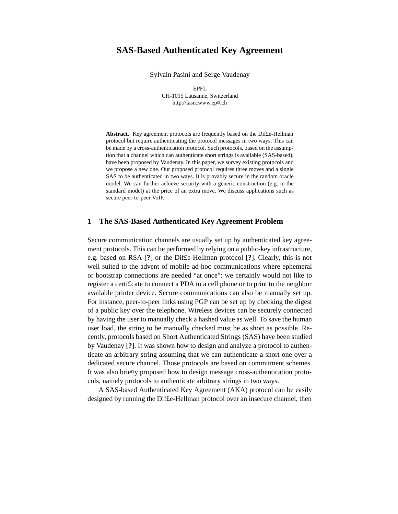# **SAS-Based Authenticated Key Agreement**

Sylvain Pasini and Serge Vaudenay

EPFL CH-1015 Lausanne, Switzerland http://lasecwww.ep¤.ch

Abstract. Key agreement protocols are frequently based on the Diffe-Hellman protocol but require authenticating the protocol messages in two ways. This can be made by a cross-authentication protocol. Such protocols, based on the assumption that a channel which can authenticate short strings is available (SAS-based), have been proposed by Vaudenay. In this paper, we survey existing protocols and we propose a new one. Our proposed protocol requires three moves and a single SAS to be authenticated in two ways. It is provably secure in the random oracle model. We can further achieve security with a generic construction (e.g. in the standard model) at the price of an extra move. We discuss applications such as secure peer-to-peer VoIP.

## **1 The SAS-Based Authenticated Key Agreement Problem**

Secure communication channels are usually set up by authenticated key agreement protocols. This can be performed by relying on a public-key infrastructure, e.g. based on RSA [**?**] or the Dif£e-Hellman protocol [**?**]. Clearly, this is not well suited to the advent of mobile ad-hoc communications where ephemeral or bootstrap connections are needed "at once": we certainly would not like to register a certi£cate to connect a PDA to a cell phone or to print to the neighbor available printer device. Secure communications can also be manually set up. For instance, peer-to-peer links using PGP can be set up by checking the digest of a public key over the telephone. Wireless devices can be securely connected by having the user to manually check a hashed value as well. To save the human user load, the string to be manually checked must be as short as possible. Recently, protocols based on Short Authenticated Strings (SAS) have been studied by Vaudenay [**?**]. It was shown how to design and analyze a protocol to authenticate an arbitrary string assuming that we can authenticate a short one over a dedicated secure channel. Those protocols are based on commitment schemes. It was also brie¤y proposed how to design message cross-authentication protocols, namely protocols to authenticate arbitrary strings in two ways.

A SAS-based Authenticated Key Agreement (AKA) protocol can be easily designed by running the Dif£e-Hellman protocol over an insecure channel, then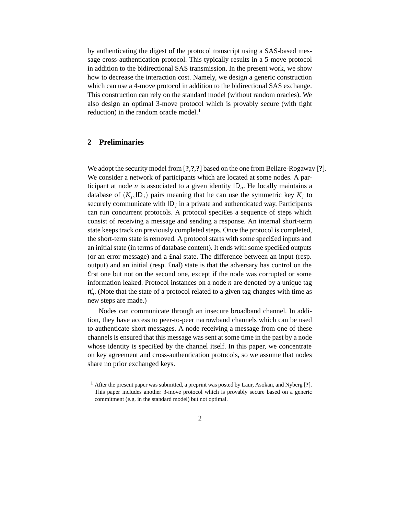by authenticating the digest of the protocol transcript using a SAS-based message cross-authentication protocol. This typically results in a 5-move protocol in addition to the bidirectional SAS transmission. In the present work, we show how to decrease the interaction cost. Namely, we design a generic construction which can use a 4-move protocol in addition to the bidirectional SAS exchange. This construction can rely on the standard model (without random oracles). We also design an optimal 3-move protocol which is provably secure (with tight reduction) in the random oracle model.<sup>1</sup>

### **2 Preliminaries**

We adopt the security model from [**?**,**?**,**?**] based on the one from Bellare-Rogaway [**?**]. We consider a network of participants which are located at some nodes. A participant at node *n* is associated to a given identity  $|D_n|$ . He locally maintains a database of  $(K_j, \mathsf{ID}_j)$  pairs meaning that he can use the symmetric key  $K_j$  to securely communicate with  $ID_j$  in a private and authenticated way. Participants can run concurrent protocols. A protocol speci£es a sequence of steps which consist of receiving a message and sending a response. An internal short-term state keeps track on previously completed steps. Once the protocol is completed, the short-term state is removed. A protocol starts with some speci£ed inputs and an initial state (in terms of database content). It ends with some speci£ed outputs (or an error message) and a £nal state. The difference between an input (resp. output) and an initial (resp. £nal) state is that the adversary has control on the £rst one but not on the second one, except if the node was corrupted or some information leaked. Protocol instances on a node *n* are denoted by a unique tag  $\pi_n^i$ . (Note that the state of a protocol related to a given tag changes with time as new steps are made.)

Nodes can communicate through an insecure broadband channel. In addition, they have access to peer-to-peer narrowband channels which can be used to authenticate short messages. A node receiving a message from one of these channels is ensured that this message was sent at some time in the past by a node whose identity is specified by the channel itself. In this paper, we concentrate on key agreement and cross-authentication protocols, so we assume that nodes share no prior exchanged keys.

<sup>1</sup> After the present paper was submitted, a preprint was posted by Laur, Asokan, and Nyberg [**?**]. This paper includes another 3-move protocol which is provably secure based on a generic commitment (e.g. in the standard model) but not optimal.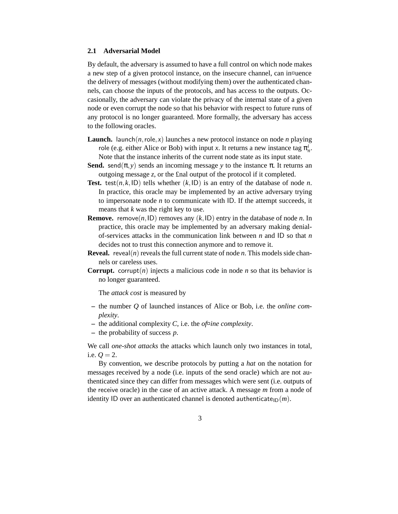#### **2.1 Adversarial Model**

By default, the adversary is assumed to have a full control on which node makes a new step of a given protocol instance, on the insecure channel, can in¤uence the delivery of messages (without modifying them) over the authenticated channels, can choose the inputs of the protocols, and has access to the outputs. Occasionally, the adversary can violate the privacy of the internal state of a given node or even corrupt the node so that his behavior with respect to future runs of any protocol is no longer guaranteed. More formally, the adversary has access to the following oracles.

- **Launch.** launch $(n,$ role, *x*) launches a new protocol instance on node *n* playing role (e.g. either Alice or Bob) with input *x*. It returns a new instance tag  $\pi_n^i$ . Note that the instance inherits of the current node state as its input state.
- **Send.** send( $\pi$ ,  $\gamma$ ) sends an incoming message  $\gamma$  to the instance  $\pi$ . It returns an outgoing message *z*, or the £nal output of the protocol if it completed.
- **Test.** test( $n, k$ , ID) tells whether  $(k, \text{ID})$  is an entry of the database of node *n*. In practice, this oracle may be implemented by an active adversary trying to impersonate node *n* to communicate with ID. If the attempt succeeds, it means that *k* was the right key to use.
- **Remove.** remove $(n, \mathsf{ID})$  removes any  $(k, \mathsf{ID})$  entry in the database of node *n*. In practice, this oracle may be implemented by an adversary making denialof-services attacks in the communication link between *n* and ID so that *n* decides not to trust this connection anymore and to remove it.
- **Reveal.** reveal(*n*) reveals the full current state of node *n*. This models side channels or careless uses.
- **Corrupt.** corrupt $(n)$  injects a malicious code in node *n* so that its behavior is no longer guaranteed.

The *attack cost* is measured by

- **–** the number *Q* of launched instances of Alice or Bob, i.e. the *online complexity*.
- **–** the additional complexity *C*, i.e. the *of¤ine complexity*.
- **–** the probability of success *p*.

We call *one-shot attacks* the attacks which launch only two instances in total, i.e.  $Q = 2$ .

By convention, we describe protocols by putting a *hat* on the notation for messages received by a node (i.e. inputs of the send oracle) which are not authenticated since they can differ from messages which were sent (i.e. outputs of the receive oracle) in the case of an active attack. A message *m* from a node of identity ID over an authenticated channel is denoted authenticate<sub>ID</sub> $(m)$ .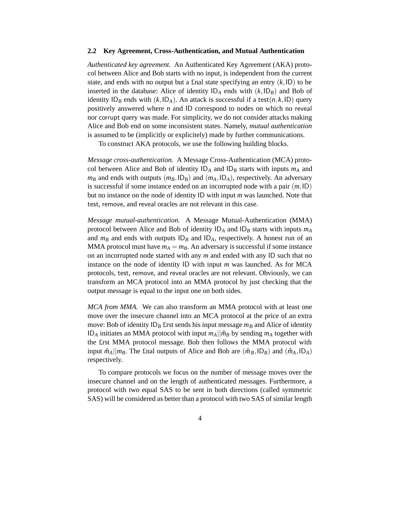#### **2.2 Key Agreement, Cross-Authentication, and Mutual Authentication**

*Authenticated key agreement.* An Authenticated Key Agreement (AKA) protocol between Alice and Bob starts with no input, is independent from the current state, and ends with no output but a final state specifying an entry  $(k, \text{ID})$  to be inserted in the database: Alice of identity  $ID_A$  ends with  $(k, ID_B)$  and Bob of identity  $ID_B$  ends with  $(k, ID_A)$ . An attack is successful if a test $(n, k, ID)$  query positively answered where *n* and ID correspond to nodes on which no reveal nor corrupt query was made. For simplicity, we do not consider attacks making Alice and Bob end on some inconsistent states. Namely, *mutual authentication* is assumed to be (implicitly or explicitely) made by further communications.

To construct AKA protocols, we use the following building blocks.

*Message cross-authentication.* A Message Cross-Authentication (MCA) protocol between Alice and Bob of identity  $ID_A$  and  $ID_B$  starts with inputs  $m_A$  and  $m_B$  and ends with outputs  $(m_B, \mathsf{ID}_B)$  and  $(m_A, \mathsf{ID}_A)$ , respectively. An adversary is successful if some instance ended on an incorrupted node with a pair  $(m, \text{ID})$ but no instance on the node of identity ID with input *m* was launched. Note that test, remove, and reveal oracles are not relevant in this case.

*Message mutual-authentication.* A Message Mutual-Authentication (MMA) protocol between Alice and Bob of identity ID*<sup>A</sup>* and ID*<sup>B</sup>* starts with inputs *m<sup>A</sup>* and  $m_B$  and ends with outputs  $ID_B$  and  $ID_A$ , respectively. A honest run of an MMA protocol must have  $m_A = m_B$ . An adversary is successful if some instance on an incorrupted node started with any *m* and ended with any ID such that no instance on the node of identity ID with input *m* was launched. As for MCA protocols, test, remove, and reveal oracles are not relevant. Obviously, we can transform an MCA protocol into an MMA protocol by just checking that the output message is equal to the input one on both sides.

*MCA from MMA.* We can also transform an MMA protocol with at least one move over the insecure channel into an MCA protocol at the price of an extra move: Bob of identity  $ID_B$  £rst sends his input message  $m_B$  and Alice of identity ID<sub>A</sub> initiates an MMA protocol with input  $m_A || \hat{m}_B$  by sending  $m_A$  together with the £rst MMA protocol message. Bob then follows the MMA protocol with input  $\hat{m}_A || m_B$ . The £nal outputs of Alice and Bob are  $(\hat{m}_B, \mathsf{ID}_B)$  and  $(\hat{m}_A, \mathsf{ID}_A)$ respectively.

To compare protocols we focus on the number of message moves over the insecure channel and on the length of authenticated messages. Furthermore, a protocol with two equal SAS to be sent in both directions (called symmetric SAS) will be considered as better than a protocol with two SAS of similar length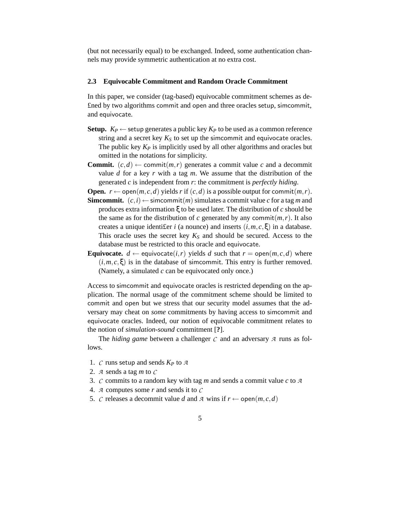(but not necessarily equal) to be exchanged. Indeed, some authentication channels may provide symmetric authentication at no extra cost.

#### **2.3 Equivocable Commitment and Random Oracle Commitment**

In this paper, we consider (tag-based) equivocable commitment schemes as de- £ned by two algorithms commit and open and three oracles setup, simcommit, and equivocate.

- **Setup.**  $K_P \leftarrow$  setup generates a public key  $K_P$  to be used as a common reference string and a secret key  $K_S$  to set up the simcommit and equivocate oracles. The public key  $K_P$  is implicitly used by all other algorithms and oracles but omitted in the notations for simplicity.
- **Commit.**  $(c,d) \leftarrow$  commit $(m,r)$  generates a commit value *c* and a decommit value *d* for a key *r* with a tag *m*. We assume that the distribution of the generated *c* is independent from *r*: the commitment is *perfectly hiding*.
- **Open.**  $r \leftarrow$  open $(m, c, d)$  yields *r* if  $(c, d)$  is a possible output for commit $(m, r)$ .
- **Simcommit.**  $(c, i) \leftarrow$  simcommit $(m)$  simulates a commit value *c* for a tag *m* and produces extra information ξ to be used later. The distribution of *c* should be the same as for the distribution of *c* generated by any commit $(m, r)$ . It also creates a unique identi£er *i* (a nounce) and inserts  $(i, m, c, \xi)$  in a database. This oracle uses the secret key  $K_S$  and should be secured. Access to the database must be restricted to this oracle and equivocate.
- **Equivocate.**  $d \leftarrow$  equivocate(*i*,*r*) yields *d* such that  $r =$  open(*m*,*c*,*d*) where  $(i, m, c, \xi)$  is in the database of simcommit. This entry is further removed. (Namely, a simulated *c* can be equivocated only once.)

Access to simcommit and equivocate oracles is restricted depending on the application. The normal usage of the commitment scheme should be limited to commit and open but we stress that our security model assumes that the adversary may cheat on *some* commitments by having access to simcommit and equivocate oracles. Indeed, our notion of equivocable commitment relates to the notion of *simulation-sound* commitment [**?**].

The *hiding game* between a challenger *C* and an adversary *A* runs as follows.

- 1. *C* runs setup and sends *K<sup>P</sup>* to *A*
- 2. *A* sends a tag *m* to  $C$
- 3. *C* commits to a random key with tag *m* and sends a commit value *c* to *A*
- 4. *A* computes some *r* and sends it to *C*
- 5. *C* releases a decommit value *d* and *A* wins if  $r \leftarrow \text{open}(m, c, d)$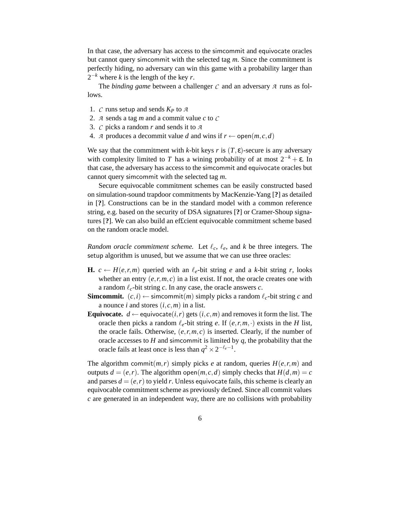In that case, the adversary has access to the simcommit and equivocate oracles but cannot query simcommit with the selected tag *m*. Since the commitment is perfectly hiding, no adversary can win this game with a probability larger than  $2^{-k}$  where *k* is the length of the key *r*.

The *binding game* between a challenger *C* and an adversary *A* runs as follows.

- 1. *C* runs setup and sends *K<sup>P</sup>* to *A*
- 2. *A* sends a tag *m* and a commit value *c* to *C*
- 3. *C* picks a random *r* and sends it to *A*
- 4. *A* produces a decommit value *d* and wins if  $r \leftarrow \text{open}(m, c, d)$

We say that the commitment with *k*-bit keys *r* is  $(T, \varepsilon)$ -secure is any adversary with complexity limited to *T* has a wining probability of at most  $2^{-k} + \varepsilon$ . In that case, the adversary has access to the simcommit and equivocate oracles but cannot query simcommit with the selected tag *m*.

Secure equivocable commitment schemes can be easily constructed based on simulation-sound trapdoor commitments by MacKenzie-Yang [**?**] as detailed in [**?**]. Constructions can be in the standard model with a common reference string, e.g. based on the security of DSA signatures [**?**] or Cramer-Shoup signatures [**?**]. We can also build an ef£cient equivocable commitment scheme based on the random oracle model.

*Random oracle commitment scheme.* Let  $\ell_c$ ,  $\ell_e$ , and  $k$  be three integers. The setup algorithm is unused, but we assume that we can use three oracles:

- **H.** *c* ← *H*(*e*,*r*,*m*) queried with an  $\ell_e$ -bit string *e* and a *k*-bit string *r*, looks whether an entry  $(e, r, m, c)$  in a list exist. If not, the oracle creates one with a random  $\ell_c$ -bit string  $c$ . In any case, the oracle answers  $c$ .
- **Simcommit.**  $(c, i) \leftarrow$  simcommit $(m)$  simply picks a random  $\ell_c$ -bit string *c* and a nounce *i* and stores  $(i, c, m)$  in a list.
- **Equivocate.**  $d \leftarrow$  equivocate(*i*,*r*) gets (*i*,*c*,*m*) and removes it form the list. The oracle then picks a random  $\ell_e$ -bit string *e*. If  $(e, r, m, \cdot)$  exists in the *H* list, the oracle fails. Otherwise,  $(e, r, m, c)$  is inserted. Clearly, if the number of oracle accesses to *H* and simcommit is limited by *q*, the probability that the oracle fails at least once is less than  $q^2 \times 2^{-\ell_e - 1}$ .

The algorithm commit $(m, r)$  simply picks *e* at random, queries  $H(e, r, m)$  and outputs  $d = (e, r)$ . The algorithm open $(m, c, d)$  simply checks that  $H(d, m) = c$ and parses  $d = (e, r)$  to yield *r*. Unless equivocate fails, this scheme is clearly an equivocable commitment scheme as previously de£ned. Since all commit values *c* are generated in an independent way, there are no collisions with probability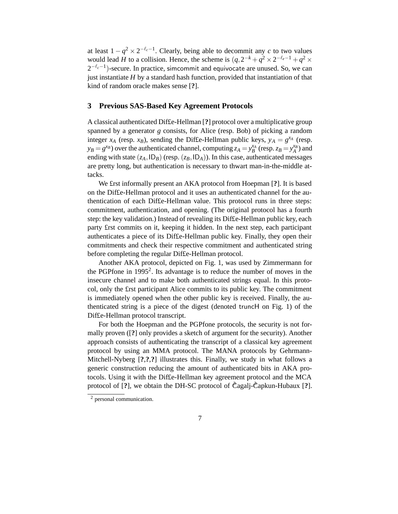at least  $1 - q^2 \times 2^{-\ell_c - 1}$ . Clearly, being able to decommit any *c* to two values would lead *H* to a collision. Hence, the scheme is  $(q, 2^{-k} + q^2 \times 2^{-\ell_e - 1} + q^2 \times$ 2<sup>- $\ell_c$ −1</sup>)-secure. In practice, simcommit and equivocate are unused. So, we can just instantiate  $H$  by a standard hash function, provided that instantiation of that kind of random oracle makes sense [**?**].

### **3 Previous SAS-Based Key Agreement Protocols**

A classical authenticated Dif£e-Hellman [**?**] protocol over a multiplicative group spanned by a generator *g* consists, for Alice (resp. Bob) of picking a random integer  $x_A$  (resp.  $x_B$ ), sending the Diffe-Hellman public keys,  $y_A = g^{x_A}$  (resp.  $y_B = g^{x_B}$ ) over the authenticated channel, computing  $z_A = y_B^{x_A}$  (resp.  $z_B = y_A^{x_B}$ ) and ending with state  $(z_A, \mathsf{ID}_B)$  (resp.  $(z_B, \mathsf{ID}_A)$ ). In this case, authenticated messages are pretty long, but authentication is necessary to thwart man-in-the-middle attacks.

We £rst informally present an AKA protocol from Hoepman [**?**]. It is based on the Dif£e-Hellman protocol and it uses an authenticated channel for the authentication of each Dif£e-Hellman value. This protocol runs in three steps: commitment, authentication, and opening. (The original protocol has a fourth step: the key validation.) Instead of revealing its Dif£e-Hellman public key, each party £rst commits on it, keeping it hidden. In the next step, each participant authenticates a piece of its Dif£e-Hellman public key. Finally, they open their commitments and check their respective commitment and authenticated string before completing the regular Dif£e-Hellman protocol.

Another AKA protocol, depicted on Fig. 1, was used by Zimmermann for the PGPfone in  $1995<sup>2</sup>$ . Its advantage is to reduce the number of moves in the insecure channel and to make both authenticated strings equal. In this protocol, only the £rst participant Alice commits to its public key. The commitment is immediately opened when the other public key is received. Finally, the authenticated string is a piece of the digest (denoted truncH on Fig. 1) of the Dif£e-Hellman protocol transcript.

For both the Hoepman and the PGPfone protocols, the security is not formally proven ([**?**] only provides a sketch of argument for the security). Another approach consists of authenticating the transcript of a classical key agreement protocol by using an MMA protocol. The MANA protocols by Gehrmann-Mitchell-Nyberg [**?**,**?**,**?**] illustrates this. Finally, we study in what follows a generic construction reducing the amount of authenticated bits in AKA protocols. Using it with the Dif£e-Hellman key agreement protocol and the MCA protocol of  $[?]$ , we obtain the DH-SC protocol of  $\hat{C}$ agalj- $\hat{C}$ apkun-Hubaux  $[?]$ .

<sup>2</sup> personal communication.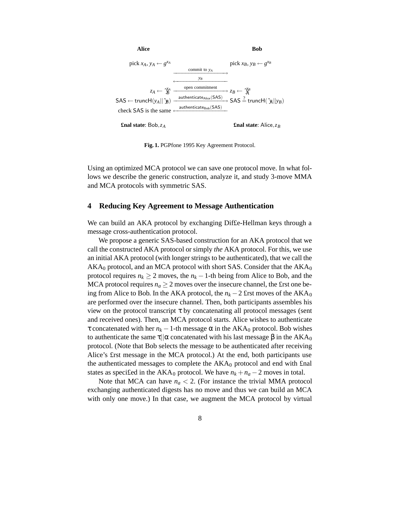

**Fig. 1.** PGPfone 1995 Key Agreement Protocol.

Using an optimized MCA protocol we can save one protocol move. In what follows we describe the generic construction, analyze it, and study 3-move MMA and MCA protocols with symmetric SAS.

#### **4 Reducing Key Agreement to Message Authentication**

We can build an AKA protocol by exchanging Diffe-Hellman keys through a message cross-authentication protocol.

We propose a generic SAS-based construction for an AKA protocol that we call the constructed AKA protocol or simply *the* AKA protocol. For this, we use an initial AKA protocol (with longer strings to be authenticated), that we call the  $AKA<sub>0</sub>$  protocol, and an MCA protocol with short SAS. Consider that the  $AKA<sub>0</sub>$ protocol requires  $n_k \geq 2$  moves, the  $n_k - 1$ -th being from Alice to Bob, and the MCA protocol requires  $n_a \geq 2$  moves over the insecure channel, the £rst one being from Alice to Bob. In the AKA protocol, the  $n_k - 2$  £rst moves of the AKA<sub>0</sub> are performed over the insecure channel. Then, both participants assembles his view on the protocol transcript τ by concatenating all protocol messages (sent and received ones). Then, an MCA protocol starts. Alice wishes to authenticate  $\tau$  concatenated with her  $n_k - 1$ -th message  $\alpha$  in the AKA<sub>0</sub> protocol. Bob wishes to authenticate the same  $\tau||\alpha$  concatenated with his last message  $\beta$  in the AKA<sub>0</sub> protocol. (Note that Bob selects the message to be authenticated after receiving Alice's £rst message in the MCA protocol.) At the end, both participants use the authenticated messages to complete the  $AKA<sub>0</sub>$  protocol and end with £nal states as specified in the AKA<sub>0</sub> protocol. We have  $n_k + n_a - 2$  moves in total.

Note that MCA can have  $n_a < 2$ . (For instance the trivial MMA protocol exchanging authenticated digests has no move and thus we can build an MCA with only one move.) In that case, we augment the MCA protocol by virtual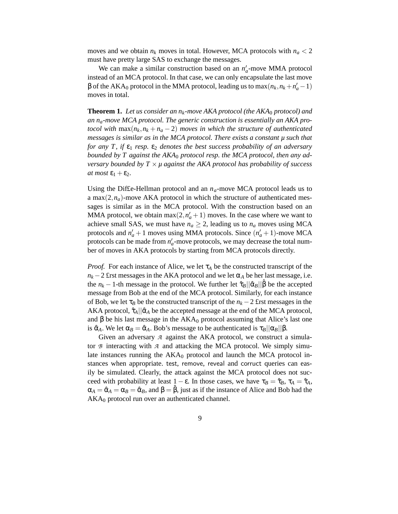moves and we obtain  $n_k$  moves in total. However, MCA protocols with  $n_a < 2$ must have pretty large SAS to exchange the messages.

We can make a similar construction based on an  $n'_a$ -move MMA protocol instead of an MCA protocol. In that case, we can only encapsulate the last move β of the AKA<sub>0</sub> protocol in the MMA protocol, leading us to  $max(n_k, n_k + n'_a - 1)$ moves in total.

**Theorem 1.** *Let us consider an nk-move AKA protocol (the AKA*<sup>0</sup> *protocol) and an na-move MCA protocol. The generic construction is essentially an AKA protocol* with  $\max(n_k, n_k + n_a - 2)$  *moves in* which the *structure of authenticated messages is similar as in the MCA protocol. There exists a constant µ such that for any T, if* ε<sup>1</sup> *resp.* ε<sup>2</sup> *denotes the best success probability of an adversary bounded by T against the AKA*<sup>0</sup> *protocol resp. the MCA protocol, then any adversary bounded by*  $T \times \mu$  *against the AKA protocol has probability of success*  $at most \epsilon_1 + \epsilon_2.$ 

Using the Diffe-Hellman protocol and an  $n_a$ -move MCA protocol leads us to a max $(2, n_a)$ -move AKA protocol in which the structure of authenticated messages is similar as in the MCA protocol. With the construction based on an MMA protocol, we obtain  $max(2, n'_a + 1)$  moves. In the case where we want to achieve small SAS, we must have  $n_a \geq 2$ , leading us to  $n_a$  moves using MCA protocols and  $n'_a + 1$  moves using MMA protocols. Since  $(n'_a + 1)$ -move MCA protocols can be made from  $n'_a$ -move protocols, we may decrease the total number of moves in AKA protocols by starting from MCA protocols directly.

*Proof.* For each instance of Alice, we let  $\tau_A$  be the constructed transcript of the  $n_k - 2$  £rst messages in the AKA protocol and we let  $\alpha_A$  be her last message, i.e. the  $n_k - 1$ -th message in the protocol. We further let  $\hat{\tau}_B || \hat{\alpha}_B || \beta$  be the accepted message from Bob at the end of the MCA protocol. Similarly, for each instance of Bob, we let  $\tau_B$  be the constructed transcript of the  $n_k - 2$  £rst messages in the AKA protocol,  $\hat{\tau}_A || \hat{\alpha}_A$  be the accepted message at the end of the MCA protocol, and  $\beta$  be his last message in the AKA<sub>0</sub> protocol assuming that Alice's last one is  $\hat{\alpha}_A$ . We let  $\alpha_B = \hat{\alpha}_A$ . Bob's message to be authenticated is  $\tau_B ||\alpha_B|| \beta$ .

Given an adversary  $\alpha$  against the AKA protocol, we construct a simulator *B* interacting with *A* and attacking the MCA protocol. We simply simulate instances running the  $AKA<sub>0</sub>$  protocol and launch the MCA protocol instances when appropriate. test, remove, reveal and corruct queries can easily be simulated. Clearly, the attack against the MCA protocol does not succeed with probability at least  $1 - \varepsilon$ . In those cases, we have  $\tau_B = \hat{\tau}_B$ ,  $\tau_A = \hat{\tau}_A$ ,  $\alpha_A = \hat{\alpha}_A = \alpha_B = \hat{\alpha}_B$ , and  $\beta = \hat{\beta}$ , just as if the instance of Alice and Bob had the  $AKA<sub>0</sub>$  protocol run over an authenticated channel.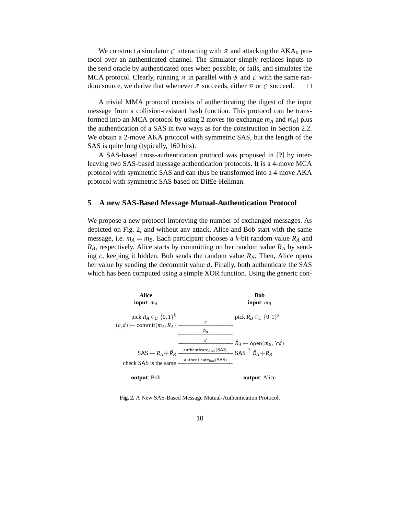We construct a simulator  $\mathcal C$  interacting with  $\mathcal A$  and attacking the AKA<sub>0</sub> protocol over an authenticated channel. The simulator simply replaces inputs to the send oracle by authenticated ones when possible, or fails, and simulates the MCA protocol. Clearly, running  $\alpha$  in parallel with  $\beta$  and  $\beta$  with the same random source, we derive that whenever  $A$  succeeds, either  $B$  or  $C$  succeed.  $\square$ 

A trivial MMA protocol consists of authenticating the digest of the input message from a collision-resistant hash function. This protocol can be transformed into an MCA protocol by using 2 moves (to exchange  $m_A$  and  $m_B$ ) plus the authentication of a SAS in two ways as for the construction in Section 2.2. We obtain a 2-move AKA protocol with symmetric SAS, but the length of the SAS is quite long (typically, 160 bits).

A SAS-based cross-authentication protocol was proposed in [**?**] by interleaving two SAS-based message authentication protocols. It is a 4-move MCA protocol with symmetric SAS and can thus be transformed into a 4-move AKA protocol with symmetric SAS based on Dif£e-Hellman.

#### **5 A new SAS-Based Message Mutual-Authentication Protocol**

We propose a new protocol improving the number of exchanged messages. As depicted on Fig. 2, and without any attack, Alice and Bob start with the same message, i.e.  $m_A = m_B$ . Each participant chooses a *k*-bit random value  $R_A$  and  $R_B$ , respectively. Alice starts by committing on her random value  $R_A$  by sending *c*, keeping it hidden. Bob sends the random value *RB*. Then, Alice opens her value by sending the decommit value *d*. Finally, both authenticate the SAS which has been computed using a simple XOR function. Using the generic con-



**Fig. 2.** A New SAS-Based Message Mutual-Authentication Protocol.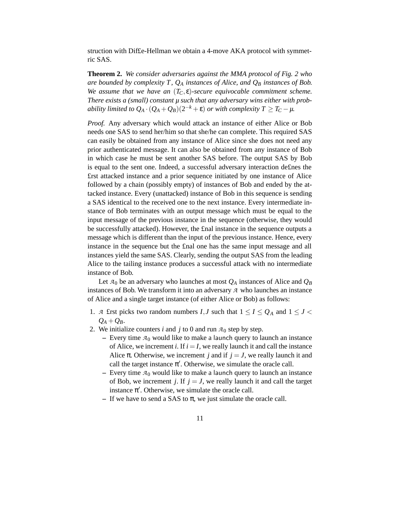struction with Dif£e-Hellman we obtain a 4-move AKA protocol with symmetric SAS.

**Theorem 2.** *We consider adversaries against the MMA protocol of Fig. 2 who are bounded by complexity T, Q<sup>A</sup> instances of Alice, and Q<sup>B</sup> instances of Bob. We assume that we have an* (*TC*, ε)*-secure equivocable commitment scheme. There exists a (small) constant µ such that any adversary wins either with probability limited to*  $Q_A \cdot (Q_A + Q_B)(2^{-k} + \varepsilon)$  *or with complexity*  $T \geq T_C - \mu$ .

*Proof.* Any adversary which would attack an instance of either Alice or Bob needs one SAS to send her/him so that she/he can complete. This required SAS can easily be obtained from any instance of Alice since she does not need any prior authenticated message. It can also be obtained from any instance of Bob in which case he must be sent another SAS before. The output SAS by Bob is equal to the sent one. Indeed, a successful adversary interaction de£nes the £rst attacked instance and a prior sequence initiated by one instance of Alice followed by a chain (possibly empty) of instances of Bob and ended by the attacked instance. Every (unattacked) instance of Bob in this sequence is sending a SAS identical to the received one to the next instance. Every intermediate instance of Bob terminates with an output message which must be equal to the input message of the previous instance in the sequence (otherwise, they would be successfully attacked). However, the £nal instance in the sequence outputs a message which is different than the input of the previous instance. Hence, every instance in the sequence but the £nal one has the same input message and all instances yield the same SAS. Clearly, sending the output SAS from the leading Alice to the tailing instance produces a successful attack with no intermediate instance of Bob.

Let  $A_0$  be an adversary who launches at most  $Q_A$  instances of Alice and  $Q_B$ instances of Bob. We transform it into an adversary *A* who launches an instance of Alice and a single target instance (of either Alice or Bob) as follows:

- 1. *A* £rst picks two random numbers *I*, *J* such that  $1 \leq I \leq Q_A$  and  $1 \leq J$  $Q_A + Q_B$ .
- 2. We initialize counters *i* and *j* to 0 and run  $A_0$  step by step.
	- **–** Every time *A*<sup>0</sup> would like to make a launch query to launch an instance of Alice, we increment *i*. If  $i = I$ , we really launch it and call the instance Alice  $\pi$ . Otherwise, we increment *j* and if  $j = J$ , we really launch it and call the target instance  $\pi'$ . Otherwise, we simulate the oracle call.
	- **–** Every time *A*<sup>0</sup> would like to make a launch query to launch an instance of Bob, we increment *j*. If  $j = J$ , we really launch it and call the target instance  $\pi'$ . Otherwise, we simulate the oracle call.
	- **–** If we have to send a SAS to π, we just simulate the oracle call.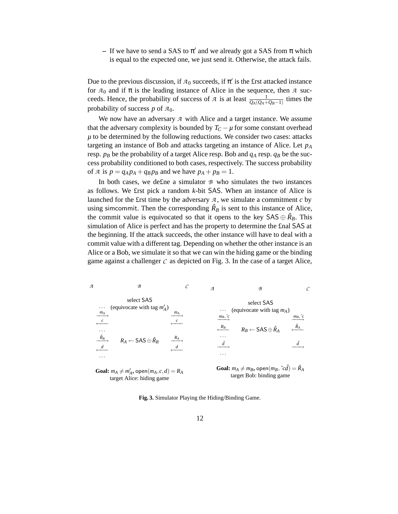$-$  If we have to send a SAS to  $π'$  and we already got a SAS from  $π$  which is equal to the expected one, we just send it. Otherwise, the attack fails.

Due to the previous discussion, if  $A_0$  succeeds, if  $\pi'$  is the £rst attacked instance for  $A_0$  and if  $\pi$  is the leading instance of Alice in the sequence, then  $A$  succeeds. Hence, the probability of success of *A* is at least  $\frac{1}{Q_A(Q_A+Q_B-1)}$  times the probability of success *p* of *A*0.

We now have an adversary *A* with Alice and a target instance. We assume that the adversary complexity is bounded by  $T_C - \mu$  for some constant overhead  $\mu$  to be determined by the following reductions. We consider two cases: attacks targeting an instance of Bob and attacks targeting an instance of Alice. Let *p<sup>A</sup>* resp.  $p_B$  be the probability of a target Alice resp. Bob and  $q_A$  resp.  $q_B$  be the success probability conditioned to both cases, respectively. The success probability of *A* is  $p = q_A p_A + q_B p_B$  and we have  $p_A + p_B = 1$ .

In both cases, we define a simulator  $B$  who simulates the two instances as follows. We £rst pick a random *k*-bit SAS. When an instance of Alice is launched for the £rst time by the adversary *A*, we simulate a commitment *c* by using simcommit. Then the corresponding  $\hat{R}_B$  is sent to this instance of Alice, the commit value is equivocated so that it opens to the key  $SAS \oplus \hat{R}_B$ . This simulation of Alice is perfect and has the property to determine the £nal SAS at the beginning. If the attack succeeds, the other instance will have to deal with a commit value with a different tag. Depending on whether the other instance is an Alice or a Bob, we simulate it so that we can win the hiding game or the binding game against a challenger  $C$  as depicted on Fig. 3. In the case of a target Alice,



 $\mathbf{Goal: } m_A \neq m'_A, \mathbf{open}(m_A, c, d) = R_A$ target Alice: hiding game target Bob: binding game

**Fig. 3.** Simulator Playing the Hiding/Binding Game.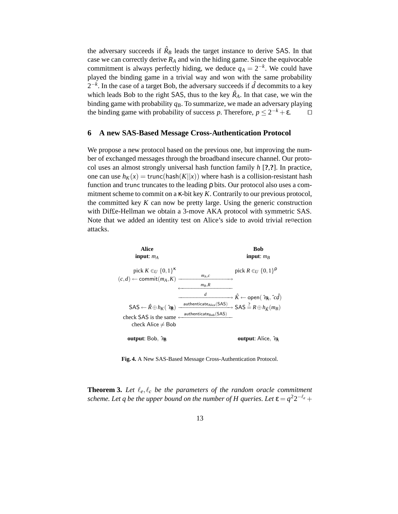the adversary succeeds if  $\hat{R}_B$  leads the target instance to derive SAS. In that case we can correctly derive  $R_A$  and win the hiding game. Since the equivocable commitment is always perfectly hiding, we deduce  $q_A = 2^{-k}$ . We could have played the binding game in a trivial way and won with the same probability  $2^{-k}$ . In the case of a target Bob, the adversary succeeds if  $\hat{d}$  decommits to a key which leads Bob to the right SAS, thus to the key  $\hat{R}_A$ . In that case, we win the binding game with probability  $q_B$ . To summarize, we made an adversary playing the binding game with probability of success *p*. Therefore,  $p \leq 2^{-k} + \varepsilon$ .

### **6 A new SAS-Based Message Cross-Authentication Protocol**

We propose a new protocol based on the previous one, but improving the number of exchanged messages through the broadband insecure channel. Our protocol uses an almost strongly universal hash function family *h* [**?**,**?**]. In practice, one can use  $h_K(x) = \text{trunc}(\text{hash}(K||x))$  where hash is a collision-resistant hash function and trunc truncates to the leading ρ bits. Our protocol also uses a commitment scheme to commit on a κ-bit key *K*. Contrarily to our previous protocol, the committed key *K* can now be pretty large. Using the generic construction with Dif£e-Hellman we obtain a 3-move AKA protocol with symmetric SAS. Note that we added an identity test on Alice's side to avoid trivial re¤ection attacks.



**Fig. 4.** A New SAS-Based Message Cross-Authentication Protocol.

**Theorem 3.** Let  $\ell_e, \ell_c$  be the parameters of the random oracle commitment  $s$ cheme. Let  $q$  be the upper bound on the number of  $H$  queries. Let  $\varepsilon = q^2 2^{-\ell_e} + \ell_e$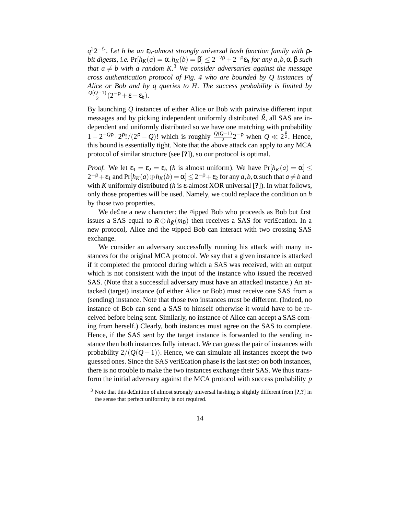*q*<sup>2</sup>2<sup>−*ℓc*</sup>. Let *h be an* ε<sub>*h*</sub>*-almost strongly <i>universal hash function family with* ρ*bit digests, i.e.*  $Pr[h_K(a) = α, h_K(b) = β] ≤ 2^{-2ρ} + 2^{-ρε} ε$ <sub>*h*</sub> *for any a,b,*α,β *such that*  $a \neq b$  *with a random*  $K$ .<sup>3</sup> *We consider adversaries against the message cross authentication protocol of Fig. 4 who are bounded by Q instances of Alice or Bob and by q queries to H. The success probability is limited by Q*(*Q*−1)  $\frac{(2-1)}{2}(2^{-\rho}+\varepsilon+\varepsilon_h).$ 

By launching *Q* instances of either Alice or Bob with pairwise different input messages and by picking independent uniformly distributed  $\hat{R}$ , all SAS are independent and uniformly distributed so we have one matching with probability  $1 - 2^{-Q\rho} \cdot 2^{\rho}!/(2^{\rho} - Q)!$  which is roughly  $\frac{Q(Q-1)}{2}2^{-\rho}$  when  $Q \ll 2^{\frac{\rho}{2}}$ . Hence, this bound is essentially tight. Note that the above attack can apply to any MCA protocol of similar structure (see [**?**]), so our protocol is optimal.

*Proof.* We let  $\varepsilon_1 = \varepsilon_2 = \varepsilon_h$  (*h* is almost uniform). We have  $Pr[h_K(a) = \alpha] \le$  $2^{-\rho} + \varepsilon_1$  and  $Pr[h_K(a) \oplus h_K(b) = \alpha] \leq 2^{-\rho} + \varepsilon_2$  for any  $a, b, \alpha$  such that  $a \neq b$  and with *K* uniformly distributed (*h* is ε-almost XOR universal [**?**]). In what follows, only those properties will be used. Namely, we could replace the condition on *h* by those two properties.

We define a new character: the ¤ipped Bob who proceeds as Bob but first issues a SAS equal to  $R \oplus h_{\hat{K}}(m_B)$  then receives a SAS for verification. In a new protocol, Alice and the ¤ipped Bob can interact with two crossing SAS exchange.

We consider an adversary successfully running his attack with many instances for the original MCA protocol. We say that a given instance is attacked if it completed the protocol during which a SAS was received, with an output which is not consistent with the input of the instance who issued the received SAS. (Note that a successful adversary must have an attacked instance.) An attacked (target) instance (of either Alice or Bob) must receive one SAS from a (sending) instance. Note that those two instances must be different. (Indeed, no instance of Bob can send a SAS to himself otherwise it would have to be received before being sent. Similarly, no instance of Alice can accept a SAS coming from herself.) Clearly, both instances must agree on the SAS to complete. Hence, if the SAS sent by the target instance is forwarded to the sending instance then both instances fully interact. We can guess the pair of instances with probability  $2/(Q(Q-1))$ . Hence, we can simulate all instances except the two guessed ones. Since the SAS veri£cation phase is the last step on both instances, there is no trouble to make the two instances exchange their SAS. We thus transform the initial adversary against the MCA protocol with success probability *p*

<sup>3</sup> Note that this de£nition of almost strongly universal hashing is slightly different from [**?**,**?**] in the sense that perfect uniformity is not required.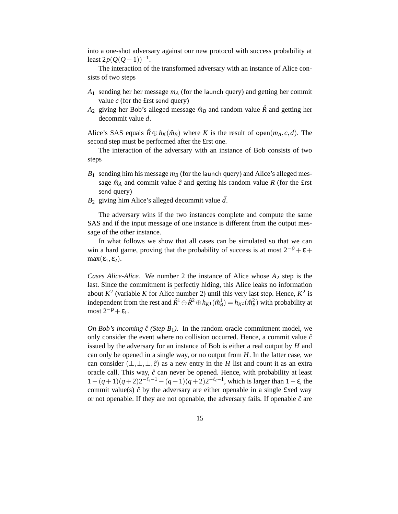into a one-shot adversary against our new protocol with success probability at least  $2p(Q(Q-1))^{-1}$ .

The interaction of the transformed adversary with an instance of Alice consists of two steps

- *A*<sup>1</sup> sending her her message *m<sup>A</sup>* (for the launch query) and getting her commit value *c* (for the £rst send query)
- $A_2$  giving her Bob's alleged message  $\hat{m}_B$  and random value  $\hat{R}$  and getting her decommit value *d*.

Alice's SAS equals  $\hat{R} \oplus h_K(\hat{m}_B)$  where *K* is the result of open $(m_A, c, d)$ . The second step must be performed after the £rst one.

The interaction of the adversary with an instance of Bob consists of two steps

- $B_1$  sending him his message  $m_B$  (for the launch query) and Alice's alleged message  $\hat{m}_A$  and commit value  $\hat{c}$  and getting his random value R (for the £rst send query)
- $B_2$  giving him Alice's alleged decommit value  $\hat{d}$ .

The adversary wins if the two instances complete and compute the same SAS and if the input message of one instance is different from the output message of the other instance.

In what follows we show that all cases can be simulated so that we can win a hard game, proving that the probability of success is at most  $2^{-\rho} + \varepsilon$  +  $max(\varepsilon_1, \varepsilon_2)$ .

*Cases Alice-Alice.* We number 2 the instance of Alice whose *A*<sup>2</sup> step is the last. Since the commitment is perfectly hiding, this Alice leaks no information about  $K^2$  (variable *K* for Alice number 2) until this very last step. Hence,  $K^2$  is independent from the rest and  $\hat{R}^1 \oplus \hat{R}^2 \oplus h_{K^1}(\hat{m}_B^1) = h_{K^2}(\hat{m}_B^2)$  with probability at most  $2^{-\rho} + \varepsilon_1$ .

*On Bob's incoming*  $\hat{c}$  (*Step B*<sub>1</sub>). In the random oracle commitment model, we only consider the event where no collision occurred. Hence, a commit value  $\hat{c}$ issued by the adversary for an instance of Bob is either a real output by *H* and can only be opened in a single way, or no output from *H*. In the latter case, we can consider  $(\perp, \perp, \perp, \hat{c})$  as a new entry in the *H* list and count it as an extra oracle call. This way,  $\hat{c}$  can never be opened. Hence, with probability at least 1 –  $(q+1)(q+2)2^{-\ell_e-1}$  –  $(q+1)(q+2)2^{-\ell_e-1}$ , which is larger than 1 – ε, the commit value(s)  $\hat{c}$  by the adversary are either openable in a single £xed way or not openable. If they are not openable, the adversary fails. If openable  $\hat{c}$  are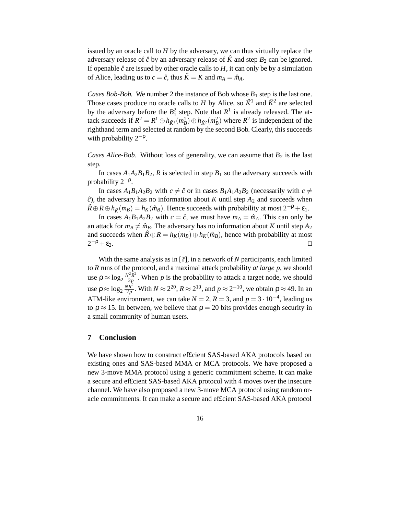issued by an oracle call to *H* by the adversary, we can thus virtually replace the adversary release of  $\hat{c}$  by an adversary release of  $\hat{K}$  and step  $B_2$  can be ignored. If openable  $\hat{c}$  are issued by other oracle calls to  $H$ , it can only be by a simulation of Alice, leading us to  $c = \hat{c}$ , thus  $\hat{K} = K$  and  $m_A = \hat{m}_A$ .

*Cases Bob-Bob.* We number 2 the instance of Bob whose  $B_1$  step is the last one. Those cases produce no oracle calls to *H* by Alice, so  $\hat{K}^1$  and  $\hat{K}^2$  are selected by the adversary before the  $B_1^2$  step. Note that  $R^1$  is already released. The attack succeeds if  $R^2 = R^1 \oplus h_{\hat{K}^1}(m_B^1) \oplus h_{\hat{K}^2}(m_B^2)$  where  $R^2$  is independent of the righthand term and selected at random by the second Bob. Clearly, this succeeds with probability  $2^{-\rho}$ .

*Cases Alice-Bob.* Without loss of generality, we can assume that  $B_2$  is the last step.

In cases  $A_1A_2B_1B_2$ , R is selected in step  $B_1$  so the adversary succeeds with probability  $2^{-\rho}$ .

In cases  $A_1B_1A_2B_2$  with  $c \neq \hat{c}$  or in cases  $B_1A_1A_2B_2$  (necessarily with  $c \neq$  $\hat{c}$ ), the adversary has no information about *K* until step  $A_2$  and succeeds when  $\hat{R} \oplus R \oplus h_{\hat{K}}(m_B) = h_K(\hat{m}_B)$ . Hence succeeds with probability at most  $2^{-\rho} + \varepsilon_1$ .

In cases  $A_1B_1A_2B_2$  with  $c = \hat{c}$ , we must have  $m_A = \hat{m}_A$ . This can only be an attack for  $m_B \neq \hat{m}_B$ . The adversary has no information about *K* until step  $A_2$ and succeeds when  $\hat{R} \oplus R = h_K(m_B) \oplus h_K(\hat{m}_B)$ , hence with probability at most  $2^{-\rho} + \varepsilon_2$ .  $-\rho + \varepsilon_2$ .

With the same analysis as in [**?**], in a network of *N* participants, each limited to *R* runs of the protocol, and a maximal attack probability *at large p*, we should  $u$ se ρ ≈  $log_2$  $\frac{N^2R^2}{2p}$  $\frac{2p}{2p}$ . When *p* is the probability to attack a target node, we should use ρ ≈  $log_2 \frac{NR^2}{2p}$  $\frac{NR^2}{2p}$ . With  $N \approx 2^{20}$ ,  $R \approx 2^{10}$ , and  $p \approx 2^{-10}$ , we obtain  $\rho \approx 49$ . In an ATM-like environment, we can take  $N = 2$ ,  $R = 3$ , and  $p = 3 \cdot 10^{-4}$ , leading us to  $\rho \approx 15$ . In between, we believe that  $\rho = 20$  bits provides enough security in a small community of human users.

#### **7 Conclusion**

We have shown how to construct ef£cient SAS-based AKA protocols based on existing ones and SAS-based MMA or MCA protocols. We have proposed a new 3-move MMA protocol using a generic commitment scheme. It can make a secure and ef£cient SAS-based AKA protocol with 4 moves over the insecure channel. We have also proposed a new 3-move MCA protocol using random oracle commitments. It can make a secure and ef£cient SAS-based AKA protocol